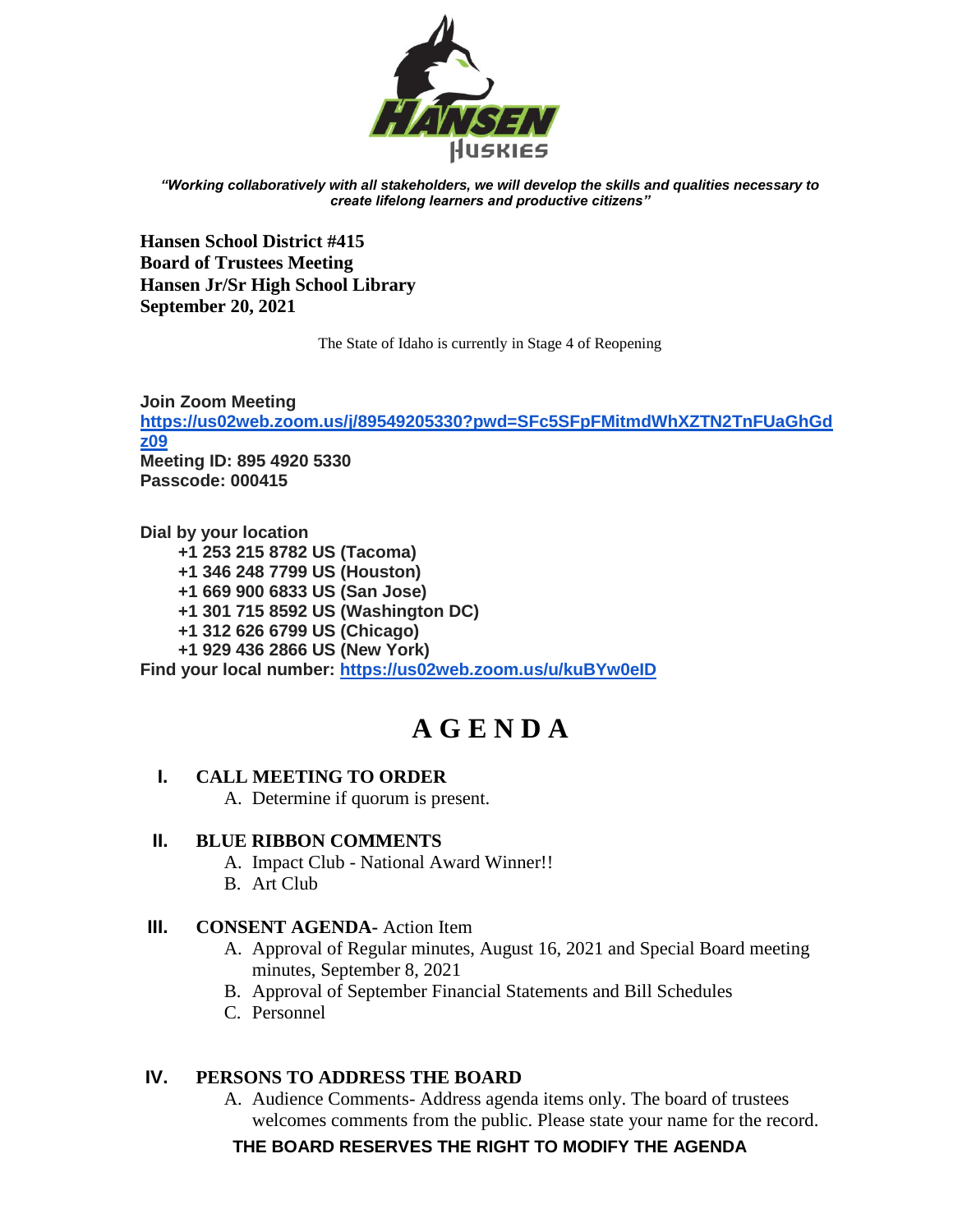

*"Working collaboratively with all stakeholders, we will develop the skills and qualities necessary to create lifelong learners and productive citizens"*

**Hansen School District #415 Board of Trustees Meeting Hansen Jr/Sr High School Library September 20, 2021** 

The State of Idaho is currently in Stage 4 of Reopening

**Join Zoom Meeting [https://us02web.zoom.us/j/89549205330?pwd=SFc5SFpFMitmdWhXZTN2TnFUaGhGd](https://us02web.zoom.us/j/89549205330?pwd=SFc5SFpFMitmdWhXZTN2TnFUaGhGdz09) [z09](https://us02web.zoom.us/j/89549205330?pwd=SFc5SFpFMitmdWhXZTN2TnFUaGhGdz09) Meeting ID: 895 4920 5330 Passcode: 000415**

**Dial by your location +1 253 215 8782 US (Tacoma) +1 346 248 7799 US (Houston) +1 669 900 6833 US (San Jose) +1 301 715 8592 US (Washington DC) +1 312 626 6799 US (Chicago) +1 929 436 2866 US (New York) Find your local number:<https://us02web.zoom.us/u/kuBYw0eID>**

# **A G E N D A**

# **I. CALL MEETING TO ORDER**

A. Determine if quorum is present.

## **II. BLUE RIBBON COMMENTS**

- A. Impact Club National Award Winner!!
- B. Art Club

## **III. CONSENT AGENDA-** Action Item

- A. Approval of Regular minutes, August 16, 2021 and Special Board meeting minutes, September 8, 2021
- B. Approval of September Financial Statements and Bill Schedules
- C. Personnel

# **IV. PERSONS TO ADDRESS THE BOARD**

A. Audience Comments- Address agenda items only. The board of trustees welcomes comments from the public. Please state your name for the record.

**THE BOARD RESERVES THE RIGHT TO MODIFY THE AGENDA**